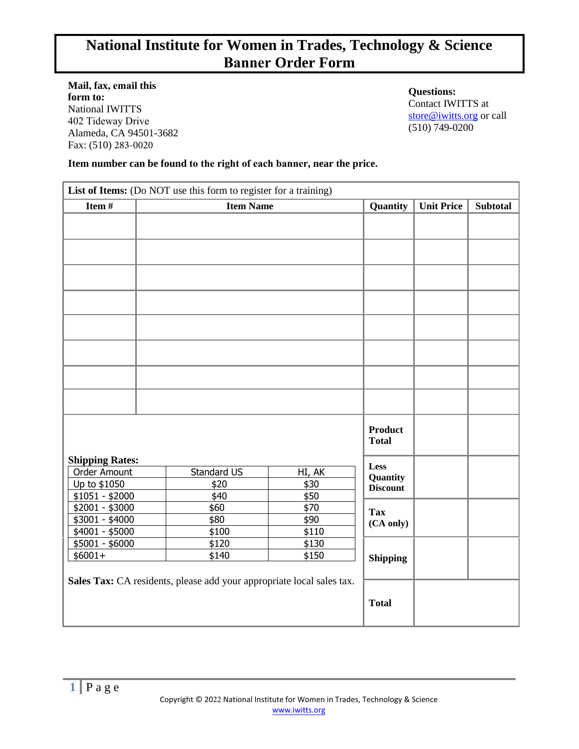# **National Institute for Women in Trades, Technology & Science Banner Order Form**

**Mail, fax, email this form to:**  National IWITTS 402 Tideway Drive Alameda, CA 94501-3682 Fax: (510) 283-0020

**Questions:** Contact IWITTS at [store@iwitts.org](mailto:store@iwitts.org) or call (510) 749-0200

#### **Item number can be found to the right of each banner, near the price.**

| List of Items: (Do NOT use this form to register for a training)      |                  |             |                |                         |                   |                 |
|-----------------------------------------------------------------------|------------------|-------------|----------------|-------------------------|-------------------|-----------------|
| Item#                                                                 | <b>Item Name</b> |             |                | Quantity                | <b>Unit Price</b> | <b>Subtotal</b> |
|                                                                       |                  |             |                |                         |                   |                 |
|                                                                       |                  |             |                |                         |                   |                 |
|                                                                       |                  |             |                |                         |                   |                 |
|                                                                       |                  |             |                |                         |                   |                 |
|                                                                       |                  |             |                |                         |                   |                 |
|                                                                       |                  |             |                |                         |                   |                 |
|                                                                       |                  |             |                |                         |                   |                 |
|                                                                       |                  |             |                |                         |                   |                 |
|                                                                       |                  |             |                |                         |                   |                 |
|                                                                       |                  |             |                |                         |                   |                 |
|                                                                       |                  |             |                |                         |                   |                 |
|                                                                       |                  |             |                |                         |                   |                 |
|                                                                       |                  |             |                |                         |                   |                 |
|                                                                       |                  |             |                |                         |                   |                 |
|                                                                       |                  |             |                |                         |                   |                 |
|                                                                       |                  |             |                | <b>Product</b>          |                   |                 |
|                                                                       |                  |             |                | <b>Total</b>            |                   |                 |
|                                                                       |                  |             |                |                         |                   |                 |
| <b>Shipping Rates:</b><br>Order Amount                                |                  | Standard US |                | Less                    |                   |                 |
| Up to \$1050                                                          |                  | \$20        | HI, AK<br>\$30 | Quantity                |                   |                 |
| $$1051 - $2000$                                                       |                  | \$40        | \$50           | <b>Discount</b>         |                   |                 |
| $$2001 - $3000$                                                       |                  | \$60        | \$70           | <b>Tax</b><br>(CA only) |                   |                 |
| \$3001 - \$4000                                                       |                  | \$80        | \$90           |                         |                   |                 |
| \$4001 - \$5000                                                       |                  | \$100       | \$110          |                         |                   |                 |
| $$5001 - $6000$                                                       |                  | \$120       | \$130          |                         |                   |                 |
| $$6001+$                                                              |                  | \$140       | \$150          | <b>Shipping</b>         |                   |                 |
|                                                                       |                  |             |                |                         |                   |                 |
| Sales Tax: CA residents, please add your appropriate local sales tax. |                  |             |                |                         |                   |                 |
|                                                                       |                  |             |                | <b>Total</b>            |                   |                 |
|                                                                       |                  |             |                |                         |                   |                 |
|                                                                       |                  |             |                |                         |                   |                 |